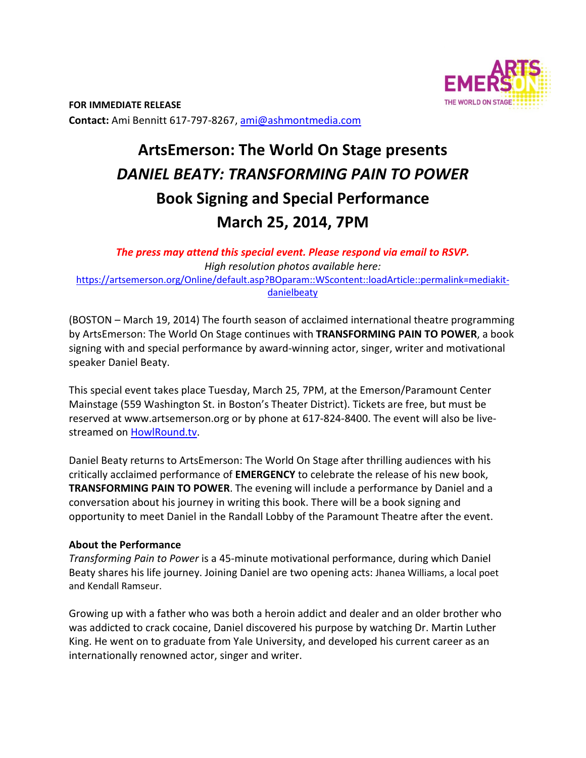

# **ArtsEmerson: The World On Stage presents** *DANIEL BEATY: TRANSFORMING PAIN TO POWER*  **Book Signing and Special Performance March 25, 2014, 7PM**

*The press may attend this special event. Please respond via email to RSVP. High resolution photos available here:*  https://artsemerson.org/Online/default.asp?BOparam::WScontent::loadArticle::permalink=mediakit‐ danielbeaty

(BOSTON – March 19, 2014) The fourth season of acclaimed international theatre programming by ArtsEmerson: The World On Stage continues with **TRANSFORMING PAIN TO POWER**, a book signing with and special performance by award‐winning actor, singer, writer and motivational speaker Daniel Beaty.

This special event takes place Tuesday, March 25, 7PM, at the Emerson/Paramount Center Mainstage (559 Washington St. in Boston's Theater District). Tickets are free, but must be reserved at www.artsemerson.org or by phone at 617‐824‐8400. The event will also be live‐ streamed on HowlRound.tv.

Daniel Beaty returns to ArtsEmerson: The World On Stage after thrilling audiences with his critically acclaimed performance of **EMERGENCY** to celebrate the release of his new book, **TRANSFORMING PAIN TO POWER**. The evening will include a performance by Daniel and a conversation about his journey in writing this book. There will be a book signing and opportunity to meet Daniel in the Randall Lobby of the Paramount Theatre after the event.

### **About the Performance**

*Transforming Pain to Power* is a 45‐minute motivational performance, during which Daniel Beaty shares his life journey. Joining Daniel are two opening acts: Jhanea Williams, a local poet and Kendall Ramseur.

Growing up with a father who was both a heroin addict and dealer and an older brother who was addicted to crack cocaine, Daniel discovered his purpose by watching Dr. Martin Luther King. He went on to graduate from Yale University, and developed his current career as an internationally renowned actor, singer and writer.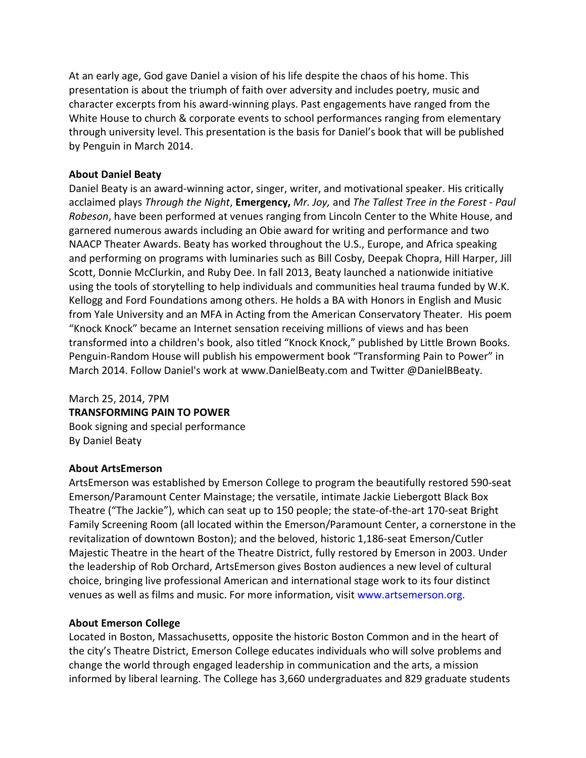At an early age, God gave Daniel a vision of his life despite the chaos of his home. This presentation is about the triumph of faith over adversity and includes poetry, music and character excerpts from his award‐winning plays. Past engagements have ranged from the White House to church & corporate events to school performances ranging from elementary through university level. This presentation is the basis for Daniel's book that will be published by Penguin in March 2014.

## **About Daniel Beaty**

Daniel Beaty is an award‐winning actor, singer, writer, and motivational speaker. His critically acclaimed plays *Through the Night*, **Emergency,** *Mr. Joy,* and *The Tallest Tree in the Forest - Paul Robeson*, have been performed at venues ranging from Lincoln Center to the White House, and garnered numerous awards including an Obie award for writing and performance and two NAACP Theater Awards. Beaty has worked throughout the U.S., Europe, and Africa speaking and performing on programs with luminaries such as Bill Cosby, Deepak Chopra, Hill Harper, Jill Scott, Donnie McClurkin, and Ruby Dee. In fall 2013, Beaty launched a nationwide initiative using the tools of storytelling to help individuals and communities heal trauma funded by W.K. Kellogg and Ford Foundations among others. He holds a BA with Honors in English and Music from Yale University and an MFA in Acting from the American Conservatory Theater. His poem "Knock Knock" became an Internet sensation receiving millions of views and has been transformed into a children's book, also titled "Knock Knock," published by Little Brown Books. Penguin‐Random House will publish his empowerment book "Transforming Pain to Power" in March 2014. Follow Daniel's work at www.DanielBeaty.com and Twitter @DanielBBeaty.

# March 25, 2014, 7PM **TRANSFORMING PAIN TO POWER**  Book signing and special performance

By Daniel Beaty

### **About ArtsEmerson**

ArtsEmerson was established by Emerson College to program the beautifully restored 590‐seat Emerson/Paramount Center Mainstage; the versatile, intimate Jackie Liebergott Black Box Theatre ("The Jackie"), which can seat up to 150 people; the state‐of‐the‐art 170‐seat Bright Family Screening Room (all located within the Emerson/Paramount Center, a cornerstone in the revitalization of downtown Boston); and the beloved, historic 1,186‐seat Emerson/Cutler Majestic Theatre in the heart of the Theatre District, fully restored by Emerson in 2003. Under the leadership of Rob Orchard, ArtsEmerson gives Boston audiences a new level of cultural choice, bringing live professional American and international stage work to its four distinct venues as well as films and music. For more information, visit www.artsemerson.org.

## **About Emerson College**

Located in Boston, Massachusetts, opposite the historic Boston Common and in the heart of the city's Theatre District, Emerson College educates individuals who will solve problems and change the world through engaged leadership in communication and the arts, a mission informed by liberal learning. The College has 3,660 undergraduates and 829 graduate students